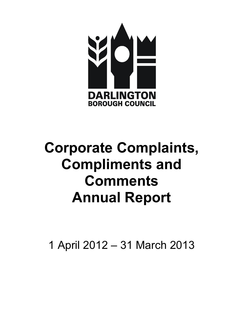

# Compliments and Annual Report Corporate Complaints, **Comments**

1 April 2012 – 31 March 2013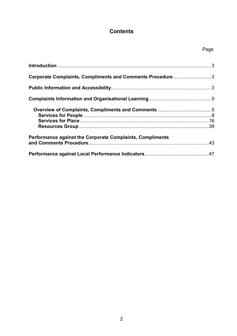# **Contents**

| Corporate Complaints, Compliments and Comments Procedure 3       |  |
|------------------------------------------------------------------|--|
|                                                                  |  |
|                                                                  |  |
|                                                                  |  |
|                                                                  |  |
|                                                                  |  |
| <b>Performance against the Corporate Complaints, Compliments</b> |  |
|                                                                  |  |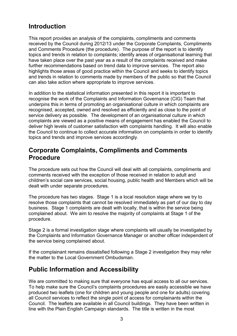# <span id="page-2-0"></span>Introduction

 This report provides an analysis of the complaints, compliments and comments received by the Council during 2012/13 under the Corporate Complaints, Compliments and Comments Procedure (the procedure). The purpose of the report is to identify topics and trends in relation to complaints; identify areas of organisational learning that have taken place over the past year as a result of the complaints received and make further recommendations based on trend data to improve services. The report also highlights those areas of good practice within the Council and seeks to identify topics and trends in relation to comments made by members of the public so that the Council can also take action where appropriate to improve services.

 In addition to the statistical information presented in this report it is important to recognise the work of the Complaints and Information Governance (CIG) Team that underpins this in terms of promoting an organisational culture in which complaints are recognised, accepted, owned and resolved as efficiently and as close to the point of service delivery as possible. The development of an organisational culture in which complaints are viewed as a positive means of engagement has enabled the Council to deliver high levels of customer satisfaction with complaints handling. It will also enable the Council to continue to collect accurate information on complaints in order to identify topics and trends and improve services accordingly.

# Corporate Complaints, Compliments and Comments Procedure

 The procedure sets out how the Council will deal with all complaints, compliments and comments received with the exception of those received in relation to adult and children's social care services, social housing, public health and Members which will be dealt with under separate procedures.

 The procedure has two stages. Stage 1 is a local resolution stage where we try to resolve those complaints that cannot be resolved immediately as part of our day to day business. Stage 1 complaints are dealt with locally, that is within the service being complained about. We aim to resolve the majority of complaints at Stage 1 of the procedure.

 Stage 2 is a formal investigation stage where complaints will usually be investigated by the Complaints and Information Governance Manager or another officer independent of the service being complained about.

 If the complainant remains dissatisfied following a Stage 2 investigation they may refer the matter to the Local Government Ombudsman.

# Public Information and Accessibility

 We are committed to making sure that everyone has equal access to all our services. To help make sure the Council's complaints procedures are easily accessible we have produced two leaflets (one for children and young people and one for adults) covering all Council services to reflect the single point of access for complainants within the Council. The leaflets are available in all Council buildings. They have been written in line with the Plain English Campaign standards. The title is written in the most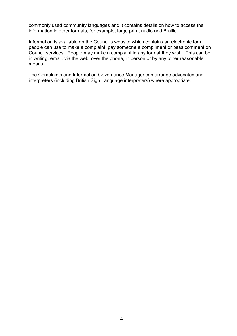commonly used community languages and it contains details on how to access the information in other formats, for example, large print, audio and Braille.

 Information is available on the Council's website which contains an electronic form people can use to make a complaint, pay someone a compliment or pass comment on Council services. People may make a complaint in any format they wish. This can be in writing, email, via the web, over the phone, in person or by any other reasonable means.

 The Complaints and Information Governance Manager can arrange advocates and interpreters (including British Sign Language interpreters) where appropriate.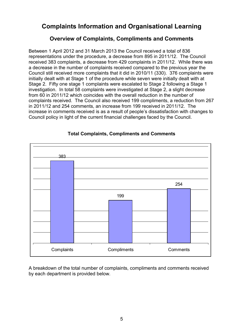# <span id="page-4-0"></span>Complaints Information and Organisational Learning

# Overview of Complaints, Compliments and Comments

 Between 1 April 2012 and 31 March 2013 the Council received a total of 836 representations under the procedure, a decrease from 895 in 2011/12. The Council received 383 complaints, a decrease from 429 complaints in 2011/12. While there was a decrease in the number of complaints received compared to the previous year the Council still received more complaints that it did in 2010/11 (330). 376 complaints were initially dealt with at Stage 1 of the procedure while seven were initially dealt with at Stage 2. Fifty one stage 1 complaints were escalated to Stage 2 following a Stage 1 investigation. In total 58 complaints were investigated at Stage 2, a slight decrease from 60 in 2011/12 which coincides with the overall reduction in the number of complaints received. The Council also received 199 compliments, a reduction from 267 in 2011/12 and 254 comments, an increase from 199 received in 2011/12. The increase in comments received is as a result of people's dissatisfaction with changes to Council policy in light of the current financial challenges faced by the Council.



## Total Complaints, Compliments and Comments

 A breakdown of the total number of complaints, compliments and comments received by each department is provided below.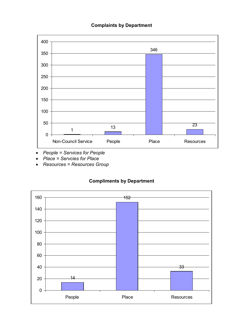#### Complaints by Department



- People = Services for People
- Place = Servcies for Place
- Resources = Resources Group

## Compliments by Department

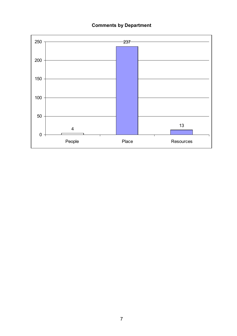#### **Comments by Department**

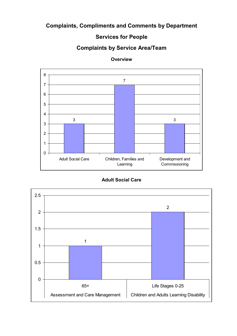# Complaints, Compliments and Comments by Department

# Services for People

# Complaints by Service Area/Team



**Overview** 

Adult Social Care

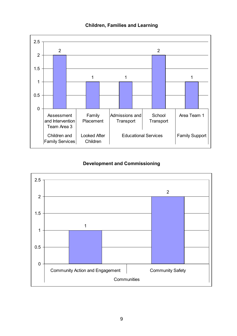



# Development and Commissioning

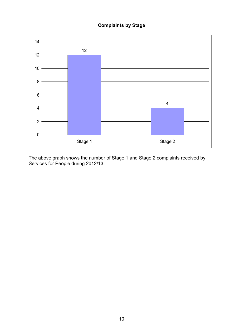## Complaints by Stage



above graph shows the number of Stage 1 and Stage 2 complaints received by for People during 2012/13. The above graph shows the number of Stage 1 and Stage 2 complaints received by Services for People during 2012/13.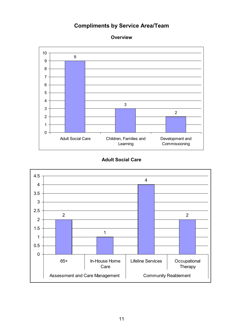# Compliments by Service Area/Team

**Overview** 



## Adult Social Care

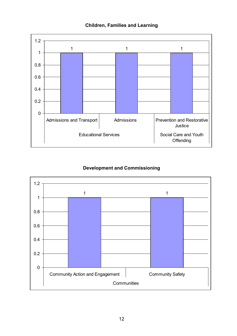Children, Families and Learning



# Development and Commissioning

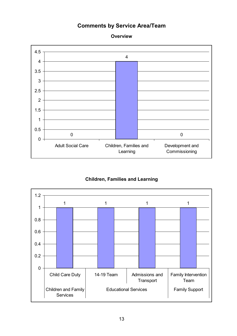# Comments by Service Area/Team



## **Overview**

# Children, Families and Learning

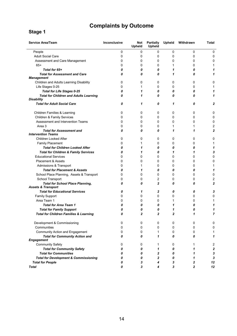# Complaints by Outcome

## Stage 1

| <b>Service Area/Team</b>                                                 | <b>Inconclusive</b> | Not<br>Upheld | Partially<br>Upheld | Upheld         | Withdrawn      | Total          |
|--------------------------------------------------------------------------|---------------------|---------------|---------------------|----------------|----------------|----------------|
| People                                                                   | 0                   | 0             | 0                   | 0              | 0              | 0              |
| <b>Adult Social Care</b>                                                 | 0                   | 0             | 0                   | 0              | 0              | 0              |
| Assessment and Care Management                                           | 0                   | 0             | 0                   | 0              | 0              | 0              |
| $65+$                                                                    | 0                   | 0             | 0                   | 1              | 0              | 1              |
| Total for 65+                                                            | 0                   | 0             | 0                   | 1              | 0              | 1              |
| <b>Total for Assessment and Care</b><br><b>Management</b>                | 0                   | 0             | 0                   | 1              | 0              | 1              |
| Children and Adults Learning Disability                                  | 0                   | 0             | 0                   | 0              | 0              | 0              |
| Life Stages 0-25                                                         | 0                   | 1             | 0                   | 0              | 0              | 1              |
| <b>Total for Life Stages 0-25</b>                                        | 0                   | 1             | 0                   | 0              | 0              | 1              |
| <b>Total for Children and Adults Learning</b><br><b>Disability</b>       | 0                   | 1             | 0                   | 0              | 0              | 1              |
| <b>Total for Adult Social Care</b>                                       | 0                   | 1             | 0                   | 1              | 0              | 2              |
| Children Families & Learning                                             | 0                   | 0             | 0                   | 0              | 0              | 0              |
| Children & Family Services                                               | 0                   | 0             | 0                   | 0              | 0              | 0              |
| Assessment and Intervention Teams                                        | 0                   | 0             | 0                   | 0              | 0              | 0              |
| Area 3                                                                   | 0                   | 0             | 0                   | 1              | 1              | 2              |
| <b>Total for Assessment and</b><br><b>Intervention Teams</b>             | 0                   | 0             | 0                   | 1              | 1              | $\overline{2}$ |
| <b>Children Looked After</b>                                             | 0                   | 0             | 0                   | 0              | 0              | 0              |
| <b>Family Placement</b>                                                  | 0                   | 1             | 0                   | 0              | 0              | 1              |
| <b>Total for Children Looked After</b>                                   | 0                   | 1             | 0                   | 0              | 0              | 1              |
| <b>Total for Children &amp; Family Services</b>                          | 0                   | 1             | 0                   | 1              | 1              | 3              |
| <b>Educational Services</b>                                              | 0                   | 0             | 0                   | 0              | 0              | 0              |
| <b>Placement &amp; Assets</b>                                            | 0                   | 0             | 0                   | 0              | 0              | 0              |
| Admissions & Transport                                                   | 0                   | 1             | 0                   | 0              | 0              | 1              |
| <b>Total for Placement &amp; Assets</b>                                  | 0                   | 1             | 0                   | 0              | 0              | 1              |
| School Place Planning, Assets & Transport                                | 0                   | 0             | 0                   | 0              | 0              | 0              |
| School Transport                                                         | 0                   | 0             | 2                   | 0              | 0              | 2              |
| <b>Total for School Place Planning,</b><br><b>Assets &amp; Transport</b> | 0                   | 0             | $\overline{2}$      | 0              | 0              | $\overline{2}$ |
| <b>Total for Educational Services</b>                                    | 0                   | 1             | $\overline{2}$      | 0              | 0              | 3              |
| Family Support                                                           | 0                   | 0             | 0                   | 0              | 0              | 0              |
| Area Team 1                                                              | 0                   | 0             | 0                   | 1              | 0              | 1              |
| <b>Total for Area Team 1</b>                                             | 0                   | 0             | 0                   | 1              | 0              | 1              |
| <b>Total for Family Support</b>                                          | 0                   | 0             | 0                   | 1              | 0              | 1              |
| <b>Total for Children Families &amp; Learning</b>                        | 0                   | 2             | $\overline{2}$      | $\overline{2}$ | 1              | 7              |
| Development & Commissioning                                              | 0                   | 0             | 0                   | 0              | 0              | 0              |
| Communities                                                              | 0                   | 0             | 0                   | 0              | 0              | 0              |
| Community Action and Engagement                                          | 0                   | 0             | 1                   | 0              | 0              | 1              |
| <b>Total for Community Action and</b><br><b>Engagement</b>               | 0                   | 0             | 1                   | 0              | 0              | 1              |
| <b>Community Safety</b>                                                  | 0                   | 0             | 1                   | 0              | 1              | 2              |
| <b>Total for Community Safety</b>                                        | 0                   | 0             | 1                   | 0              | 1              | 2              |
| <b>Total for Communities</b>                                             | 0                   | 0             | 2                   | 0              | 1              | 3              |
| <b>Total for Development &amp; Commissioning</b>                         | 0                   | 0             | $\mathbf{2}$        | 0              | 1              | 3              |
| <b>Total for People</b>                                                  | 0                   | 3             | 4                   | 3              | 2              | 12             |
| <b>Total</b>                                                             | 0                   | 3             | 4                   | 3              | $\overline{2}$ | 12             |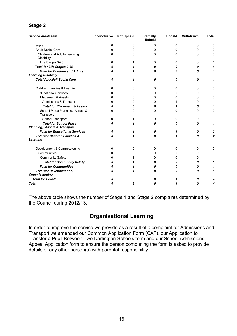# Stage 2

| <b>Service Area/Team</b>                                                 | Inconclusive | <b>Not Upheld</b> | Partially<br>Upheld | Upheld   | Withdrawn | <b>Total</b>   |
|--------------------------------------------------------------------------|--------------|-------------------|---------------------|----------|-----------|----------------|
| People                                                                   | 0            | $\Omega$          | 0                   | 0        | 0         | 0              |
| <b>Adult Social Care</b>                                                 | 0            | 0                 | 0                   | 0        | 0         | 0              |
| Children and Adults Learning<br>Disability                               | 0            | 0                 | 0                   | 0        | 0         | 0              |
| Life Stages 0-25                                                         | 0            |                   | 0                   | 0        | 0         | 1              |
| <b>Total for Life Stages 0-25</b>                                        | 0            | 1                 | Λ                   | 0        | 0         | 1              |
| <b>Total for Children and Adults</b><br><b>Learning Disability</b>       | 0            | 1                 | Λ                   | 0        | 0         | 1              |
| <b>Total for Adult Social Care</b>                                       | 0            | 1                 | 0                   | 0        | 0         | 1              |
| Children Families & Learning                                             | 0            | 0                 | 0                   | 0        | 0         | 0              |
| <b>Educational Services</b>                                              | 0            | 0                 | 0                   | 0        | 0         | 0              |
| <b>Placement &amp; Assets</b>                                            | 0            | 0                 | n                   | 0        | 0         | $\Omega$       |
| Admissions & Transport                                                   | 0            | 0                 | 0                   | 1        | 0         | 1              |
| <b>Total for Placement &amp; Assets</b>                                  | 0            | 0                 | 0                   | 1        | 0         | 1              |
| School Place Planning, Assets &<br>Transport                             | 0            | 0                 | 0                   | $\Omega$ | $\Omega$  | 0              |
| School Transport                                                         | 0            |                   | 0                   | 0        | 0         | 1              |
| <b>Total for School Place</b><br><b>Planning, Assets &amp; Transport</b> | 0            | 1                 | 0                   | 0        | 0         | 1              |
| <b>Total for Educational Services</b>                                    | 0            | 1                 | 0                   | 1        | 0         | $\mathbf{2}$   |
| <b>Total for Children Families &amp;</b><br>Learning                     | 0            | 1                 | 0                   | 1        | 0         | $\overline{2}$ |
| Development & Commissioning                                              | $\Omega$     | 0                 | 0                   | 0        | 0         | 0              |
| Communities                                                              | 0            | 0                 | n                   | $\Omega$ | 0         | $\Omega$       |
| <b>Community Safety</b>                                                  | 0            |                   | 0                   | 0        | 0         | 1              |
| <b>Total for Community Safety</b>                                        | 0            | 1                 | 0                   | 0        | 0         | 1              |
| <b>Total for Communities</b>                                             | 0            |                   | 0                   | 0        | 0         | 1              |
| <b>Total for Development &amp;</b>                                       | 0            |                   | 0                   | 0        | 0         | 1              |
| <b>Commissioning</b>                                                     |              |                   |                     |          |           |                |
| <b>Total for People</b>                                                  | 0            | 3                 | 0                   | 1        | 0         |                |
| <b>Total</b>                                                             | n            | 3                 | 0                   | 1        | 0         |                |

 The above table shows the number of Stage 1 and Stage 2 complaints determined by the Council during 2012/13.

# Organisational Learning

 In order to improve the service we provide as a result of a complaint for Admissions and Transport we amended our Common Application Form (CAF), our Application to Transfer a Pupil Between Two Darlington Schools form and our School Admissions Appeal Application form to ensure the person completing the form is asked to provide details of any other person(s) with parental responsibility.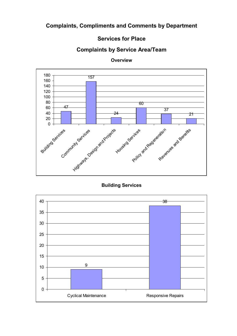# Complaints, Compliments and Comments by Department

# Services for Place

# Complaints by Service Area/Team



**Overview** 

Building Services

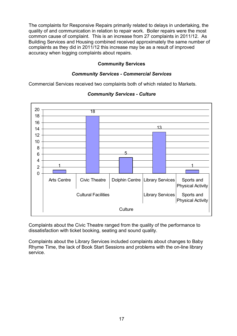The complaints for Responsive Repairs primarily related to delays in undertaking, the quality of and communication in relation to repair work. Boiler repairs were the most common cause of complaint. This is an increase from 27 complaints in 2011/12. As Building Services and Housing combined received approximately the same number of complaints as they did in 2011/12 this increase may be as a result of improved accuracy when logging complaints about repairs.

#### Community Services

#### **Community Services - Commercial Services**

Commercial Services received two complaints both of which related to Markets.



#### **Community Services - Culture**

 Complaints about the Civic Theatre ranged from the quality of the performance to dissatisfaction with ticket booking, seating and sound quality.

 Complaints about the Library Services included complaints about changes to Baby Rhyme Time, the lack of Book Start Sessions and problems with the on-line library service.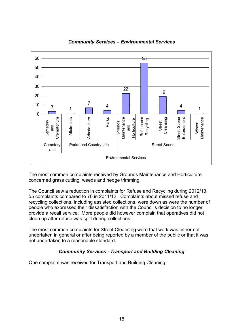

Community Services – Environmental Services

 The most common complaints received by Grounds Maintenance and Horticulture concerned grass cutting, weeds and hedge trimming.

 The Council saw a reduction in complaints for Refuse and Recycling during 2012/13. 55 complaints compared to 70 in 2011/12. Complaints about missed refuse and recycling collections, including assisted collections, were down as were the number of people who expressed their dissatisfaction with the Council's decision to no longer provide a recall service. More people did however complain that operatives did not clean up after refuse was spilt during collections.

 The most common complaints for Street Cleansing were that work was either not undertaken in general or after being reported by a member of the public or that it was not undertaken to a reasonable standard.

## **Community Services - Transport and Building Cleaning**

One complaint was received for Transport and Building Cleaning.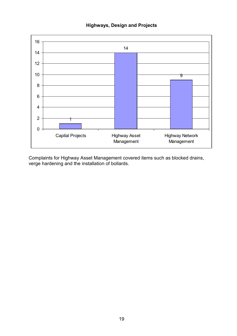



 Complaints for Highway Asset Management covered items such as blocked drains, verge hardening and the installation of bollards.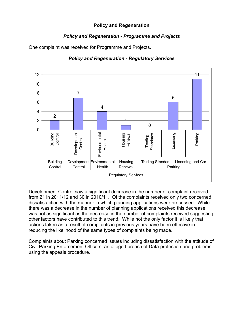## Policy and Regeneration

# Policy and Regeneration - Programme and Projects

One complaint was received for Programme and Projects.



## Policy and Regeneration - Regulatory Services

 Development Control saw a significant decrease in the number of complaint received from 21 in 2011/12 and 30 in 2010/11. Of the complaints received only two concerned dissatisfaction with the manner in which planning applications were processed. While there was a decrease in the number of planning applications received this decrease was not as significant as the decrease in the number of complaints received suggesting other factors have contributed to this trend. While not the only factor it is likely that actions taken as a result of complaints in previous years have been effective in reducing the likelihood of the same types of complaints being made.

 Complaints about Parking concerned issues including dissatisfaction with the attitude of Civil Parking Enforcement Officers, an alleged breach of Data protection and problems using the appeals procedure.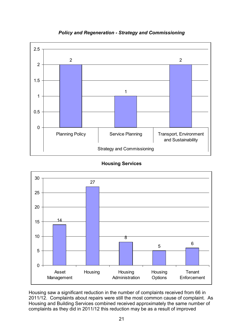

## Policy and Regeneration - Strategy and Commissioning

## Housing Services



 Housing saw a significant reduction in the number of complaints received from 66 in 2011/12. Complaints about repairs were still the most common cause of complaint. As Housing and Building Services combined received approximately the same number of complaints as they did in 2011/12 this reduction may be as a result of improved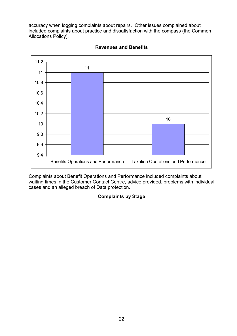accuracy when logging complaints about repairs. Other issues complained about included complaints about practice and dissatisfaction with the compass (the Common Allocations Policy).



## Revenues and Benefits

 Complaints about Benefit Operations and Performance included complaints about waiting times in the Customer Contact Centre, advice provided, problems with individual cases and an alleged breach of Data protection.

## Complaints by Stage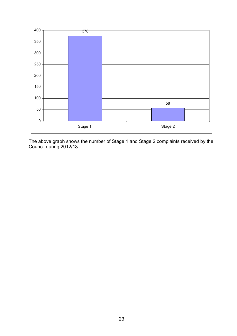

above graph shows the number of Stage 1 and Stage 2 complaints received by the during 2012/13. The above graph shows the number of Stage 1 and Stage 2 complaints received by the Council during 2012/13.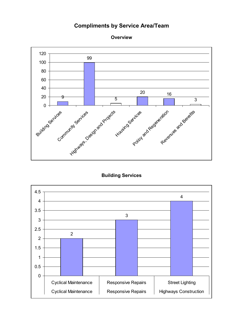# Compliments by Service Area/Team





## Building Services

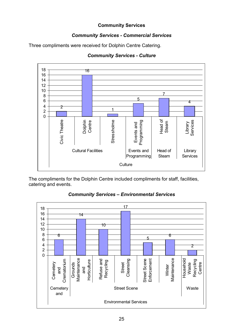## Community Services

## **Community Services - Commercial Services**

Three compliments were received for Dolphin Centre Catering.



#### **Community Services - Culture**

 The compliments for the Dolphin Centre included compliments for staff, facilities, catering and events.



Community Services – Environmental Services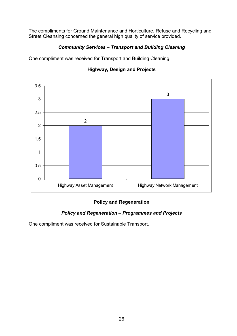The compliments for Ground Maintenance and Horticulture, Refuse and Recycling and Street Cleansing concerned the general high quality of service provided.

# Community Services – Transport and Building Cleaning

One compliment was received for Transport and Building Cleaning.



# Highway, Design and Projects

# Policy and Regeneration

## Policy and Regeneration – Programmes and Projects

One compliment was received for Sustainable Transport.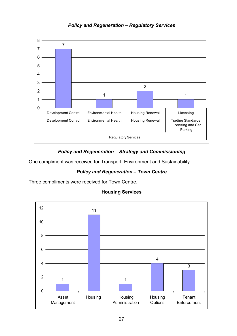

# Policy and Regeneration – Regulatory Services

# Policy and Regeneration – Strategy and Commissioning

One compliment was received for Transport, Environment and Sustainability.

# Policy and Regeneration – Town Centre

Three compliments were received for Town Centre.



## Housing Services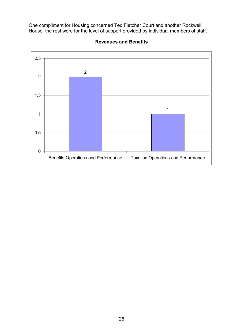One compliment for Housing concerned Ted Fletcher Court and another Rockwell House, the rest were for the level of support provided by individual members of staff.



## Revenues and Benefits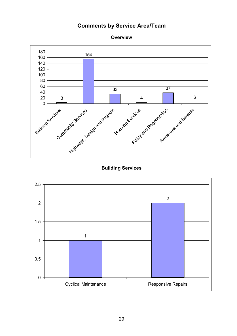# Comments by Service Area/Team





## Building Services

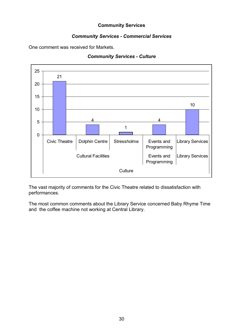## Community Services

## **Community Services - Commercial Services**

One comment was received for Markets.

#### **Community Services - Culture**



 The vast majority of comments for the Civic Theatre related to dissatisfaction with performances.

 The most common comments about the Library Service concerned Baby Rhyme Time and the coffee machine not working at Central Library.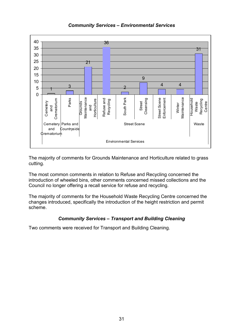

## Community Services – Environmental Services

 The majority of comments for Grounds Maintenance and Horticulture related to grass cutting.

 The most common comments in relation to Refuse and Recycling concerned the introduction of wheeled bins, other comments concerned missed collections and the Council no longer offering a recall service for refuse and recycling.

 The majority of comments for the Household Waste Recycling Centre concerned the changes introduced, specifically the introduction of the height restriction and permit scheme.

## Community Services – Transport and Building Cleaning

Two comments were received for Transport and Building Cleaning.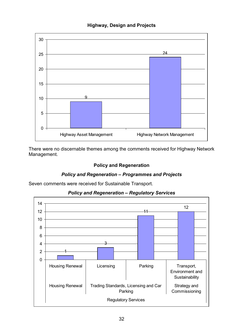



 There were no discernable themes among the comments received for Highway Network Management.

# Policy and Regeneration

## Policy and Regeneration – Programmes and Projects

Seven comments were received for Sustainable Transport.



## Policy and Regeneration – Regulatory Services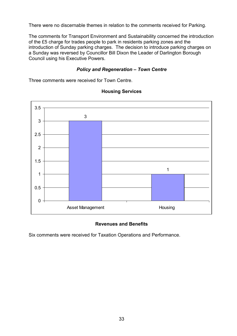There were no discernable themes in relation to the comments received for Parking.

 The comments for Transport Environment and Sustainability concerned the introduction of the £5 charge for trades people to park in residents parking zones and the introduction of Sunday parking charges. The decision to introduce parking charges on a Sunday was reversed by Councillor Bill Dixon the Leader of Darlington Borough Council using his Executive Powers.

#### Policy and Regeneration – Town Centre

Three comments were received for Town Centre.



### Housing Services

## Revenues and Benefits

Six comments were received for Taxation Operations and Performance.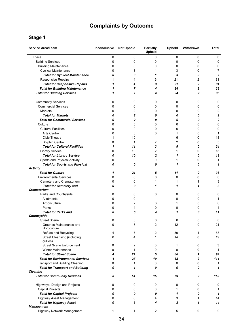# Complaints by Outcome

#### Stage 1

| <b>Service Area/Team</b>                                | Inconclusive | <b>Not Upheld</b> | <b>Partially</b><br>Upheld | <b>Upheld</b> | Withdrawn    | <b>Total</b> |
|---------------------------------------------------------|--------------|-------------------|----------------------------|---------------|--------------|--------------|
| Place                                                   | 0            | 0                 | 0                          | 0             | 0            | 0            |
| <b>Building Services</b>                                | 0            | 0                 | 0                          | 0             | 0            | 0            |
| <b>Building Maintenance</b>                             | 0            | 0                 | 0                          | 0             | 0            | 0            |
| <b>Cyclical Maintenance</b>                             | 0            | 3                 | 1                          | 3             | 0            | 7            |
| <b>Total for Cyclical Maintenance</b>                   | 0            | 3                 | 1                          | 3             | 0            | 7            |
| <b>Responsive Repairs</b>                               |              | 4                 | 3                          | 21            | 2            | 31           |
| <b>Total for Responsive Repairs</b>                     | 1            | 4                 | 3                          | 21            | 2            | 31           |
| <b>Total for Building Maintenance</b>                   | 1            | $\overline{7}$    | 4                          | 24            | 2            | 38           |
| <b>Total for Building Services</b>                      | 1            | 7                 | 4                          | 24            | 2            | 38           |
| <b>Community Services</b>                               | 0            | 0                 | 0                          | 0             | 0            | 0            |
| <b>Commercial Services</b>                              | 0            | 0                 | 0                          | 0             | 0            | 0            |
| Markets                                                 | 0            | 2                 | 0                          | 0             | 0            | 2            |
| <b>Total for Markets</b>                                | 0            | $\mathbf{2}$      | 0                          | 0             | 0            | $\mathbf 2$  |
| <b>Total for Commercial Services</b>                    | 0            | $\mathbf{2}$      | 0                          | 0             | 0            | 2            |
| Culture                                                 | 0            | 0                 | 0                          | 0             | 0            | 0            |
| <b>Cultural Facilities</b>                              | 0            | 0                 | 0                          | 0             | 0            | 0            |
| <b>Arts Centre</b>                                      | 0            | 0                 | 0                          | 1             | 0            | 1            |
| <b>Civic Theatre</b>                                    | 1            | 10                | 1                          | 6             | 0            | 18           |
| Dolphin Centre                                          | 0            | 1                 | 2                          | 2             | 0            | 5            |
| <b>Total for Cultural Facilities</b>                    | 1            | 11                | 3                          | 9             | 0            | 24           |
| Library Service                                         | 0            | 10                | 2                          | 1             | 0            | 13           |
| <b>Total for Library Service</b>                        | 0            | 10                | $\mathbf 2$                | 1             | 0            | 13           |
| Sports and Physical Activity                            | 0            | 0                 | 0                          | 1             | 0            | 1            |
| <b>Total for Sports and Physical</b><br><b>Activity</b> | 0            | 0                 | 0                          | 1             | 0            | 1            |
| <b>Total for Culture</b>                                | 1            | 21                | 5                          | 11            | 0            | 38           |
| <b>Environmental Services</b>                           | 0            | 0                 | 0                          | 0             | 0            | 0            |
| Cemetery and Crematorium                                | 0            | 0                 | 1                          | 1             | 1            | 3            |
| <b>Total for Cemetery and</b><br>Crematorium            | 0            | 0                 | 1                          | 1             | 1            | 3            |
| Parks and Countryside                                   | 0            | 0                 | 0                          | 0             | 0            | 0            |
| Allotments                                              | 0            | 0                 | 1                          | 0             | 0            | 1            |
| Arboriculture                                           | 0            | 2                 | 3                          | 1             | 0            | 6            |
| Parks                                                   | 0            | 4                 | 0                          | 0             | 0            | 4            |
| <b>Total for Parks and</b>                              | 0            | 6                 | 4                          | 1             | 0            | 11           |
| Countryside                                             |              |                   |                            |               |              |              |
| <b>Street Scene</b>                                     | 0            | 0                 | 0                          | 0             | 0            | 0            |
| Grounds Maintenance and<br>Horticulture                 | 0            | 7                 | 2                          | 12            | U            | 21           |
| Refuse and Recycling                                    | 4            | 7                 | 2                          | 39            | 1            | 53           |
| <b>Street Cleansing (including</b><br>gullies)          | 0            | 4                 | $\mathbf{1}$               | 14            | 0            | 19           |
| <b>Street Scene Enforcement</b>                         | 0            | 2                 | 0                          | 1             | 0            | 3            |
| <b>Winter Maintenance</b>                               | 0            | 1                 | 0                          | $\mathbf 0$   | 0            | 1            |
| <b>Total for Street Scene</b>                           | 4            | 21                | 5                          | 66            | 1            | 97           |
| <b>Total for Environmental Services</b>                 | 4            | 27                | 10                         | 68            | $\mathbf{2}$ | 111          |
| <b>Transport and Building Cleaning</b>                  | 0            | 1                 | 0                          | 0             | 0            | 1            |
| <b>Total for Transport and Building</b>                 | 0            | 1                 | 0                          | 0             | 0            | 1            |
| <b>Cleaning</b>                                         |              |                   |                            |               |              |              |
| <b>Total for Community Services</b>                     | 5            | 51                | 15                         | 79            | 2            | 152          |
| Highways, Design and Projects                           | 0            | 0                 | 0                          | 0             | 0            | 0            |
| <b>Capital Projects</b>                                 | 0            | 0                 | 0                          | 1             | 0            | 1            |
| <b>Total for Capital Projects</b>                       | 0            | 0                 | 0                          | 1             | 0            | 1            |
| Highway Asset Management                                | 0            | 6                 | 4                          | 3             | 1            | 14           |
| <b>Total for Highway Asset</b><br><b>Management</b>     | 0            | 6                 | 4                          | 3             | 1            | 14           |
| Highway Network Management                              | 1            | 1                 | 2                          | 5             | 0            | 9            |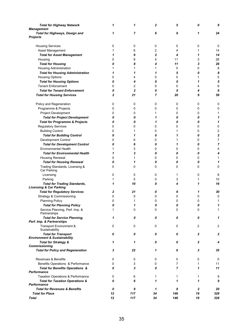| <b>Total for Highway Network</b><br><b>Management</b>                     | 1            | 1              | 2  | 5              | 0  | 9       |
|---------------------------------------------------------------------------|--------------|----------------|----|----------------|----|---------|
| <b>Total for Highways, Design and</b><br><b>Projects</b>                  | 1            | 7              | 6  | 9              | 1  | 24      |
|                                                                           |              |                |    |                |    |         |
| <b>Housing Services</b>                                                   | 0            | 0              | 0  | 0              | 0  | 0       |
| Asset Management                                                          |              | 6              | 2  | 4              | 1  | 14      |
| <b>Total for Asset Management</b>                                         | 1            | 6              | 2  | 4              | 1  | 14      |
| Housing                                                                   | 0            | 8              | 4  | 11             | 3  | 26      |
| <b>Total for Housing</b>                                                  | 0            | 8              | 4  | 11             | 3  | 26      |
| <b>Housing Administration</b>                                             | 1            | 1              | 1  | 5              | 0  | 8       |
| <b>Total for Housing Administration</b>                                   | 1            | 1              | 1  | 5              | 0  | 8       |
| <b>Housing Options</b>                                                    | 0            | 4              | 0  | 0              | 1  | 5       |
| <b>Total for Housing Options</b>                                          | 0            | 4              | 0  | 0              | 1  | 5       |
| <b>Tenant Enforcement</b>                                                 | 0            | $\overline{c}$ | 0  | 0              | 4  | $\,6\,$ |
| <b>Total for Tenant Enforcement</b>                                       | 0            | $\mathbf{2}$   | 0  | 0              | 4  | 6       |
| <b>Total for Housing Services</b>                                         | $\mathbf{2}$ | 21             | 7  | 20             | 9  | 59      |
| Policy and Regeneration                                                   | 0            | 0              | 0  | 0              | 0  | 0       |
| Programme & Projects                                                      | 0            | 0              | 0  | 0              | 0  | 0       |
| Project Development                                                       | 0            | 0              | 1  | 0              | 0  | 1       |
| <b>Total for Project Development</b>                                      | 0            | 0              | 1  | 0              | 0  | 1       |
| <b>Total for Programme &amp; Projects</b>                                 | 0            | 0              | 1  | 0              | 0  | 1       |
| <b>Regulatory Services</b>                                                | 0            | 0              | 0  | 0              | 0  | 0       |
| <b>Building Control</b>                                                   | 0            | 1              | 0  | 1              | 0  | 2       |
| <b>Total for Building Control</b>                                         | 0            | 1              | 0  | 1              | 0  | 2       |
| Development Control                                                       | 0            | 6              | 0  |                | 0  | 7       |
| <b>Total for Development Control</b>                                      | 0            | 6              | 0  | 1              | 0  | 7       |
| <b>Environmental Health</b>                                               |              | 3              | 0  | 0              | 0  | 4       |
| <b>Total for Environmental Health</b>                                     | 1            | 3              | 0  | 0              | 0  | 4       |
| <b>Housing Renewal</b>                                                    | 0            | 1              | 0  | 0              | 0  | 1       |
| <b>Total for Housing Renewal</b>                                          | 0            | 1              | 0  | 0              | 0  | 1       |
| Trading Standards, Licensing &<br>Car Parking                             | 0            | 0              | 0  | 0              | 0  | 0       |
| Licensing                                                                 | 0            | 5              | 0  | 1              | 0  | 6       |
| Parking                                                                   | 1            | 5              | 0  | 3              | 1  | 10      |
| <b>Total for Trading Standards,</b><br><b>Licensing &amp; Car Parking</b> | 1            | 10             | 0  | 4              | 1  | 16      |
| <b>Total for Regulatory Services</b>                                      | 2            | 21             | 0  | 6              | 1  | 30      |
| Strategy & Commissioning                                                  | 0            | 0              | 0  | 0              | 0  | 0       |
| <b>Planning Policy</b>                                                    | 0            |                | 0  |                |    |         |
| <b>Total for Planning Policy</b>                                          | 0            | 1              | 0  | 0              | 0  | 1       |
| Service Planning, Perf. Imp. &<br>Partnerships                            | 1            | 0              | 0  | 0              | 0  | 1       |
| <b>Total for Service Planning,</b><br>Perf. Imp. & Partnerships           | 1            | 0              | 0  | 0              | 0  | 1       |
| Transport Environment &<br>Sustainability                                 | 0            | 0              | 0  | 0              | 2  | 2       |
| <b>Total for Transport</b><br><b>Environment &amp; Sustainability</b>     | 0            | 0              | 0  | 0              | 2  | 2       |
| <b>Total for Strategy &amp;</b><br>Commissioning                          | 1            | 1              | 0  | 0              | 2  | 4       |
| <b>Total for Policy and Regeneration</b>                                  | 3            | 22             | 1  | 6              | 3  | 35      |
| Revenues & Benefits                                                       | 0            | 0              | 0  | 0              | 0  | 0       |
| Benefits Operations & Performance                                         | 0            | 3              | 0  | 7              | 1  | 11      |
| <b>Total for Benefits Operations &amp;</b><br>Performance                 | 0            | 3              | 0  | $\overline{7}$ | 1  | 11      |
| <b>Taxation Operations &amp; Performance</b>                              | 0            | 6              | 1  | 1              | 1  | 9       |
| <b>Total for Taxation Operations &amp;</b><br>Performance                 | 0            | 6              | 1  | 1              | 1  | 9       |
| <b>Total for Revenues &amp; Benefits</b>                                  | 0            | 9              | 1  | 8              | 2  | 20      |
| <b>Total for Place</b>                                                    | 12           | 117            | 34 | 146            | 19 | 328     |
| <b>Total</b>                                                              | 12           | 117            | 34 | 146            | 19 | 328     |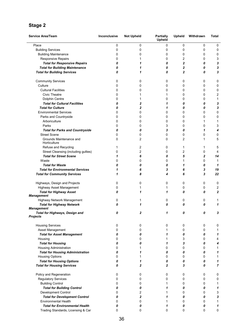#### Stage 2

| <b>Service Area/Team</b>                              | Inconclusive | <b>Not Upheld</b> | <b>Partially</b><br>Upheld | <b>Upheld</b>  | Withdrawn   | <b>Total</b>   |
|-------------------------------------------------------|--------------|-------------------|----------------------------|----------------|-------------|----------------|
| Place                                                 | 0            | 0                 | 0                          | 0              | $\mathbf 0$ | 0              |
| <b>Building Services</b>                              | 0            | 0                 | 0                          | 0              | 0           | 0              |
| <b>Building Maintenance</b>                           | 0            | 0                 | 0                          | 0              | 0           | 0              |
| <b>Responsive Repairs</b>                             | 0            | 1                 | 0                          | 2              | 0           | 3              |
| <b>Total for Responsive Repairs</b>                   | 0            | 1                 | 0                          | 2              | 0           | 3              |
| <b>Total for Building Maintenance</b>                 | 0            | 1                 | 0                          | 2              | 0           | 3              |
| <b>Total for Building Services</b>                    | 0            | 1                 | 0                          | $\overline{2}$ | 0           | 3              |
|                                                       |              |                   |                            |                |             |                |
| <b>Community Services</b>                             | 0            | 0                 | 0                          | 0              | 0           | 0              |
| Culture                                               | 0            | 0                 | 0                          | 0              | 0           | 0              |
| <b>Cultural Facilities</b>                            | 0            | 0                 | 0                          | 0              | 0           | 0              |
| <b>Civic Theatre</b>                                  | 0            | 1                 | 1                          | 0              | 0           | 2              |
| Dolphin Centre                                        | 0            | 1                 | 0                          | 0              | 0           | 1              |
| <b>Total for Cultural Facilities</b>                  | 0            | 2                 | 1                          | 0              | 0           | 3              |
| <b>Total for Culture</b>                              | 0            | 2                 | 1                          | 0              | 0           | 3              |
| <b>Environmental Services</b>                         | 0            | 0                 | 0                          | 0              | 0           | 0              |
| Parks and Countryside                                 | 0            | 0                 | 0                          | 0              | 0           | 0              |
| Arboriculture                                         | 0            | 0                 | 0                          | 0              | 1           | 1              |
| Parks                                                 | 0            | 0                 | 3                          | 0              | 0           | 3              |
| <b>Total for Parks and Countryside</b>                | 0            | 0                 | 3                          | 0              | 1           | 4              |
| <b>Street Scene</b>                                   | 0            | 0                 | 0                          | 0              | 0           | 0              |
| Grounds Maintenance and<br>Horticulture               | 0            | $\overline{2}$    | 0                          | $\overline{2}$ | 1           | 5              |
| Refuse and Recycling                                  | 1            | 2                 | 0                          | 1              | 1           | 5              |
| Street Cleansing (including gullies)                  | 0            | 2                 | 0                          | 2              | 0           | 4              |
| <b>Total for Street Scene</b>                         | 1            | 6                 | 0                          | 5              | 2           | 14             |
| Waste                                                 | 0            | 0                 | 0                          | 1              | 0           | 1              |
| <b>Total for Waste</b>                                | 0            | 0                 | 0                          | 1              | 0           | 1              |
| <b>Total for Environmental Services</b>               | 1            | 6                 | 3                          | 6              | 3           | 19             |
| <b>Total for Community Services</b>                   | 1            | 8                 | 4                          | 6              | 3           | 22             |
| Highways, Design and Projects                         | 0            | 0                 | 0                          | 0              | 0           | 0              |
| Highway Asset Management                              | 0            | 1                 | 1                          | 0              | 0           | $\overline{c}$ |
| <b>Total for Highway Asset</b>                        | 0            | 1                 | 1                          | 0              | 0           | $\mathbf 2$    |
| <b>Management</b>                                     |              |                   |                            |                |             |                |
| Highway Network Management                            | 0            | 1                 | 0                          | 0              | 0           | 1              |
| <b>Total for Highway Network</b><br><b>Management</b> | 0            | 1                 | 0                          | 0              | 0           | 1              |
| Total for Highways, Design and                        | 0            |                   | 1                          | 0              | 0           | 3              |
| <b>Projects</b>                                       |              |                   |                            |                |             |                |
| <b>Housing Services</b>                               | 0            | 0                 | 0                          | 0              | 0           | 0              |
| Asset Management                                      | 0            | 0                 | 1                          | 0              | 0           | 1              |
| <b>Total for Asset Management</b>                     | 0            | 0                 | 1                          | 0              | 0           | 1              |
| Housing                                               | 0            | 0                 | 1                          | 3              | 0           | 4              |
| <b>Total for Housing</b>                              | 0            | 0                 | 1                          | 3              | 0           | 4              |
| <b>Housing Administration</b>                         | 0            | 1                 | 0                          | 0              | 0           | 1              |
| <b>Total for Housing Administration</b>               | 0            | 1                 | 0                          | 0              | 0           | 1              |
| <b>Housing Options</b>                                | 0            | 1                 | 0                          | 0              | 0           | 1              |
| <b>Total for Housing Options</b>                      | 0            | 1                 | 0                          | 0              | 0           | 1              |
| <b>Total for Housing Services</b>                     | 0            | 2                 | 2                          | 3              | 0           | $\overline{7}$ |
| Policy and Regeneration                               | 0            | 0                 | 0                          | 0              | 0           | 0              |
| <b>Regulatory Services</b>                            | 0            | 0                 | 0                          | 0              | 0           | 0              |
| <b>Building Control</b>                               | 0            | 0                 | 1                          | 0              | 0           | 1              |
| <b>Total for Building Control</b>                     | 0            | 0                 | 1                          | 0              | 0           | 1              |
| Development Control                                   | 0            | 2                 | 1                          | 0              | 0           | 3              |
| <b>Total for Development Control</b>                  | 0            | $\mathbf{2}$      | 1                          | 0              | 0           | 3              |
| <b>Environmental Health</b>                           | 0            | 0                 | 1                          | 0              | 0           | 1              |
| <b>Total for Environmental Health</b>                 | 0            | 0                 | 1                          | 0              | 0           | 1              |
| Trading Standards, Licensing & Car                    | 0            | 0                 | 0                          | 0              | 0           | 0              |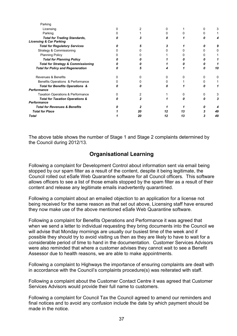| Parking                                                                   |    |    |    |    |
|---------------------------------------------------------------------------|----|----|----|----|
| Licensing                                                                 |    |    |    |    |
| Parking                                                                   |    |    |    |    |
| <b>Total for Trading Standards,</b><br><b>Licensing &amp; Car Parking</b> |    |    |    |    |
| <b>Total for Regulatory Services</b>                                      |    |    |    |    |
| <b>Strategy &amp; Commissioning</b>                                       |    |    |    |    |
| <b>Planning Policy</b>                                                    |    |    |    |    |
| <b>Total for Planning Policy</b>                                          |    |    |    |    |
| <b>Total for Strategy &amp; Commissioning</b>                             |    |    |    |    |
| <b>Total for Policy and Regeneration</b>                                  |    |    |    | 10 |
| Revenues & Benefits                                                       |    |    |    |    |
| Benefits Operations & Performance                                         |    |    |    |    |
| <b>Total for Benefits Operations &amp;</b><br>Performance                 |    |    |    |    |
| <b>Taxation Operations &amp; Performance</b>                              |    |    |    |    |
| <b>Total for Taxation Operations &amp;</b><br>Performance                 |    |    |    |    |
| <b>Total for Revenues &amp; Benefits</b>                                  |    |    |    |    |
| <b>Total for Place</b>                                                    | 20 |    | 13 | 49 |
| Total                                                                     | 20 | 12 | 13 | 49 |

 The above table shows the number of Stage 1 and Stage 2 complaints determined by the Council during 2012/13.

# Organisational Learning

 Following a complaint for Development Control about information sent via email being stopped by our spam filter as a result of the content, despite it being legitimate, the Council rolled out eSafe Web Quarantine software for all Council officers. This software allows officers to see a list of those emails stopped by the spam filter as a result of their content and release any legitimate emails inadvertently quarantined.

 Following a complaint about an emailed objection to an application for a license not being received for the same reason as that set out above, Licensing staff have ensured they now make use of the above mentioned eSafe Web Quarantine software.

 Following a complaint for Benefits Operations and Performance it was agreed that when we send a letter to individual requesting they bring documents into the Council we will advise that Monday mornings are usually our busiest time of the week and if possible they should try to avoid visiting us then as they are likely to have to wait for a considerable period of time to hand in the documentation. Customer Services Advisors were also reminded that where a customer advises they cannot wait to see a Benefit Assessor due to health reasons, we are able to make appointments.

 Following a complaint to Highways the importance of ensuring complaints are dealt with in accordance with the Council's complaints procedure(s) was reiterated with staff.

 Following a complaint about the Customer Contact Centre it was agreed that Customer Services Advisors would provide their full name to customers.

 Following a complaint for Council Tax the Council agreed to amend our reminders and final notices and to avoid any confusion include the date by which payment should be made in the notice.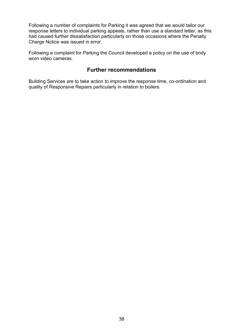Following a number of complaints for Parking it was agreed that we would tailor our response letters to individual parking appeals, rather than use a standard letter, as this had caused further dissatisfaction particularly on those occasions where the Penalty Charge Notice was issued in error.

 Following a complaint for Parking the Council developed a policy on the use of body worn video cameras.

# Further recommendations

Building Services are to take action to improve the response time, co-ordination and quality of Responsive Repairs particularly in relation to boilers.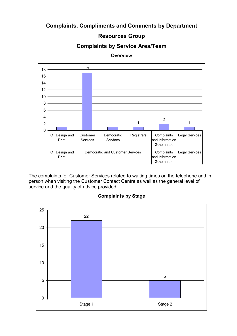# Complaints, Compliments and Comments by Department

# Resources Group

# Complaints by Service Area/Team



**Overview** 

 The complaints for Customer Services related to waiting times on the telephone and in person when visiting the Customer Contact Centre as well as the general level of service and the quality of advice provided.

#### Complaints by Stage

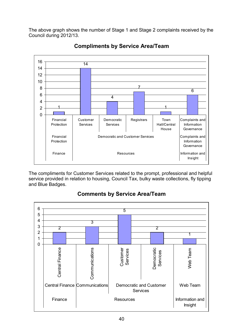The above graph shows the number of Stage 1 and Stage 2 complaints received by the Council during 2012/13.



Compliments by Service Area/Team

 The compliments for Customer Services related to the prompt, professional and helpful service provided in relation to housing, Council Tax, bulky waste collections, fly tipping and Blue Badges.



# Comments by Service Area/Team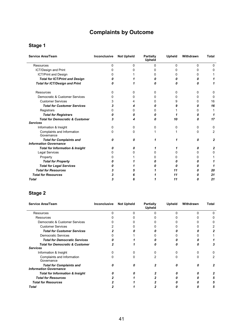# Complaints by Outcome

#### Stage 1

| <b>Service Area/Team</b>                                         | Inconclusive | <b>Not Upheld</b> | Partially<br><b>Upheld</b> | <b>Upheld</b> | Withdrawn | <b>Total</b> |
|------------------------------------------------------------------|--------------|-------------------|----------------------------|---------------|-----------|--------------|
| <b>Resources</b>                                                 | $\Omega$     | 0                 | 0                          | $\Omega$      | 0         | 0            |
| ICT/Design and Print                                             |              |                   | n                          |               | ი         | 0            |
| <b>ICT/Print and Design</b>                                      |              |                   |                            |               | O         |              |
| <b>Total for ICT/Print and Design</b>                            |              |                   | 0                          |               | n         |              |
| <b>Total for ICT/Design and Print</b>                            |              |                   | Ω                          |               | Ω         |              |
| Resources                                                        | 0            | 0                 | 0                          | 0             | 0         | $\Omega$     |
| Democratic & Customer Services                                   | ŋ            | 0                 | 0                          | ŋ             | 0         | 0            |
| <b>Customer Services</b>                                         |              |                   | 0                          | 9             | 0         | 16           |
| <b>Total for Customer Services</b>                               |              |                   | n                          |               | 0         | 16           |
| Registrars                                                       | 0            | <sup>0</sup>      | o                          |               | 0         |              |
| <b>Total for Registrars</b>                                      |              |                   | 0                          |               | 0         |              |
| <b>Total for Democratic &amp; Customer</b>                       | 3            |                   | Ω                          | 10            | Ω         | 17           |
| <b>Services</b>                                                  |              |                   |                            |               |           |              |
| Information & Insight                                            | 0            | 0                 | 0                          | 0             | 0         | 0            |
| Complaints and Information<br>Governance                         | 0            | 0                 |                            |               | 0         | 2            |
| <b>Total for Complaints and</b><br><b>Information Governance</b> | n            | 0                 | 1                          |               | 0         | $\mathbf{2}$ |
| <b>Total for Information &amp; Insight</b>                       | n            | n                 |                            |               | 0         | 2            |
| <b>Legal Services</b>                                            |              |                   | 0                          |               | 0         | 0            |
| Property                                                         |              |                   |                            |               | o         |              |
| <b>Total for Property</b>                                        |              |                   |                            |               | n         |              |
| <b>Total for Legal Services</b>                                  |              |                   |                            |               | 0         |              |
| <b>Total for Resources</b>                                       |              |                   |                            | 11            | 0         | 20           |
| <b>Total for Resources</b>                                       |              |                   |                            | 11            | 0         | 21           |
| <b>Total</b>                                                     | 3            |                   |                            | 11            | 0         | 21           |

#### Stage 2

| <b>Service Area/Team</b>                                         | Inconclusive | <b>Not Upheld</b> | <b>Partially</b><br><b>Upheld</b> | Upheld | Withdrawn | Total |
|------------------------------------------------------------------|--------------|-------------------|-----------------------------------|--------|-----------|-------|
| Resources                                                        |              |                   |                                   |        |           |       |
| Resources                                                        |              |                   |                                   |        |           |       |
| Democratic & Customer Services                                   |              |                   |                                   |        |           |       |
| <b>Customer Services</b>                                         |              |                   |                                   |        |           |       |
| <b>Total for Customer Services</b>                               |              |                   |                                   |        |           |       |
| <b>Democratic Services</b>                                       |              |                   |                                   |        |           |       |
| <b>Total for Democratic Services</b>                             |              |                   |                                   |        |           |       |
| <b>Total for Democratic &amp; Customer</b>                       |              |                   |                                   |        |           |       |
| <b>Services</b>                                                  |              |                   |                                   |        |           |       |
| Information & Insight                                            |              |                   |                                   |        |           |       |
| Complaints and Information<br>Governance                         |              |                   |                                   |        | O         |       |
| <b>Total for Complaints and</b><br><b>Information Governance</b> |              |                   |                                   |        |           |       |
| <b>Total for Information &amp; Insight</b>                       |              |                   |                                   |        |           |       |
| <b>Total for Resources</b>                                       |              |                   |                                   |        |           |       |
| <b>Total for Resources</b>                                       |              |                   |                                   |        |           |       |
| Total                                                            |              |                   |                                   |        |           | 5     |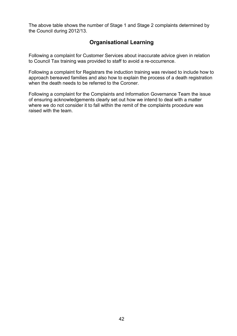The above table shows the number of Stage 1 and Stage 2 complaints determined by the Council during 2012/13.

# Organisational Learning

 Following a complaint for Customer Services about inaccurate advice given in relation to Council Tax training was provided to staff to avoid a re-occurrence.

 Following a complaint for Registrars the induction training was revised to include how to approach bereaved families and also how to explain the process of a death registration when the death needs to be referred to the Coroner.

 Following a complaint for the Complaints and Information Governance Team the issue of ensuring acknowledgements clearly set out how we intend to deal with a matter where we do not consider it to fall within the remit of the complaints procedure was raised with the team.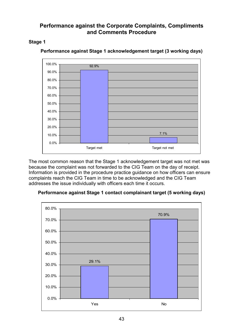# <span id="page-42-0"></span> Performance against the Corporate Complaints, Compliments and Comments Procedure

# Stage 1



## Performance against Stage 1 acknowledgement target (3 working days)

 The most common reason that the Stage 1 acknowledgement target was not met was because the complaint was not forwarded to the CIG Team on the day of receipt. Information is provided in the procedure practice guidance on how officers can ensure complaints reach the CIG Team in time to be acknowledged and the CIG Team addresses the issue individually with officers each time it occurs.



## Performance against Stage 1 contact complainant target (5 working days)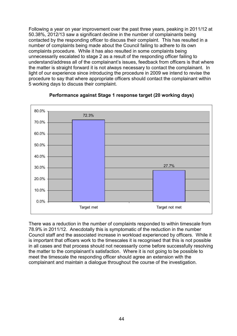Following a year on year improvement over the past three years, peaking in 2011/12 at 50.38%, 2012/13 saw a significant decline in the number of complainants being contacted by the responding officer to discuss their complaint. This has resulted in a number of complaints being made about the Council failing to adhere to its own complaints procedure. While it has also resulted in some complaints being unnecessarily escalated to stage 2 as a result of the responding officer failing to understand/address all of the complainant's issues, feedback from officers is that where the matter is straight forward it is not always necessary to contact the complainant. In light of our experience since introducing the procedure in 2009 we intend to revise the procedure to say that where appropriate officers should contact the complainant within 5 working days to discuss their complaint.



## Performance against Stage 1 response target (20 working days)

 There was a reduction in the number of complaints responded to within timescale from 78.9% in 2011/12. Anecdotally this is symptomatic of the reduction in the number Council staff and the associated increase in workload experienced by officers. While it is important that officers work to the timescales it is recognised that this is not possible in all cases and that process should not necessarily come before successfully resolving the matter to the complainant's satisfaction. Where it is not going to be possible to meet the timescale the responding officer should agree an extension with the complainant and maintain a dialogue throughout the course of the investigation.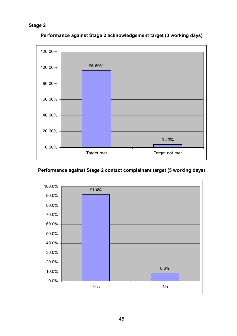

Performance against Stage 2 acknowledgement target (3 working days)

# Performance against Stage 2 contact complainant target (5 working days)

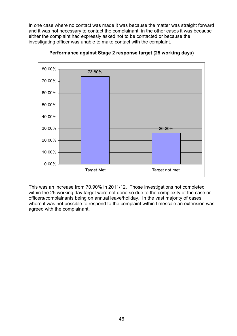In one case where no contact was made it was because the matter was straight forward and it was not necessary to contact the complainant, in the other cases it was because either the complaint had expressly asked not to be contacted or because the investigating officer was unable to make contact with the complaint.



Performance against Stage 2 response target (25 working days)

 This was an increase from 70.90% in 2011/12. Those investigations not completed within the 25 working day target were not done so due to the complexity of the case or officers/complainants being on annual leave/holiday. In the vast majority of cases where it was not possible to respond to the complaint within timescale an extension was agreed with the complainant.